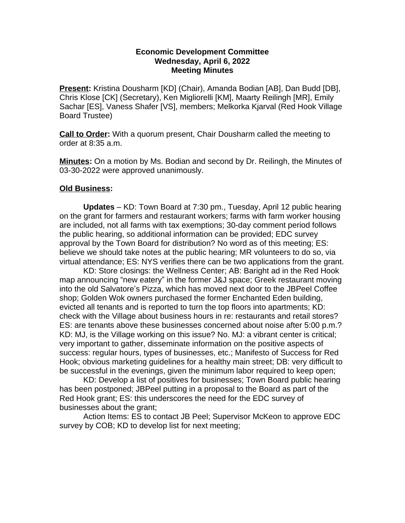## **Economic Development Committee Wednesday, April 6, 2022 Meeting Minutes**

**Present:** Kristina Dousharm [KD] (Chair), Amanda Bodian [AB], Dan Budd [DB], Chris Klose [CK] (Secretary), Ken Migliorelli [KM], Maarty Reilingh [MR], Emily Sachar [ES], Vaness Shafer [VS], members; Melkorka Kjarval (Red Hook Village Board Trustee)

**Call to Order:** With a quorum present, Chair Dousharm called the meeting to order at 8:35 a.m.

**Minutes:** On a motion by Ms. Bodian and second by Dr. Reilingh, the Minutes of 03-30-2022 were approved unanimously.

## **Old Business:**

**Updates** – KD: Town Board at 7:30 pm., Tuesday, April 12 public hearing on the grant for farmers and restaurant workers; farms with farm worker housing are included, not all farms with tax exemptions; 30-day comment period follows the public hearing, so additional information can be provided; EDC survey approval by the Town Board for distribution? No word as of this meeting; ES: believe we should take notes at the public hearing; MR volunteers to do so, via virtual attendance; ES: NYS verifies there can be two applications from the grant.

KD: Store closings: the Wellness Center; AB: Baright ad in the Red Hook map announcing "new eatery" in the former J&J space; Greek restaurant moving into the old Salvatore's Pizza, which has moved next door to the JBPeel Coffee shop; Golden Wok owners purchased the former Enchanted Eden building, evicted all tenants and is reported to turn the top floors into apartments; KD: check with the Village about business hours in re: restaurants and retail stores? ES: are tenants above these businesses concerned about noise after 5:00 p.m.? KD: MJ, is the Village working on this issue? No. MJ: a vibrant center is critical; very important to gather, disseminate information on the positive aspects of success: regular hours, types of businesses, etc.; Manifesto of Success for Red Hook; obvious marketing guidelines for a healthy main street; DB: very difficult to be successful in the evenings, given the minimum labor required to keep open;

KD: Develop a list of positives for businesses; Town Board public hearing has been postponed; JBPeel putting in a proposal to the Board as part of the Red Hook grant; ES: this underscores the need for the EDC survey of businesses about the grant;

Action Items: ES to contact JB Peel; Supervisor McKeon to approve EDC survey by COB; KD to develop list for next meeting;